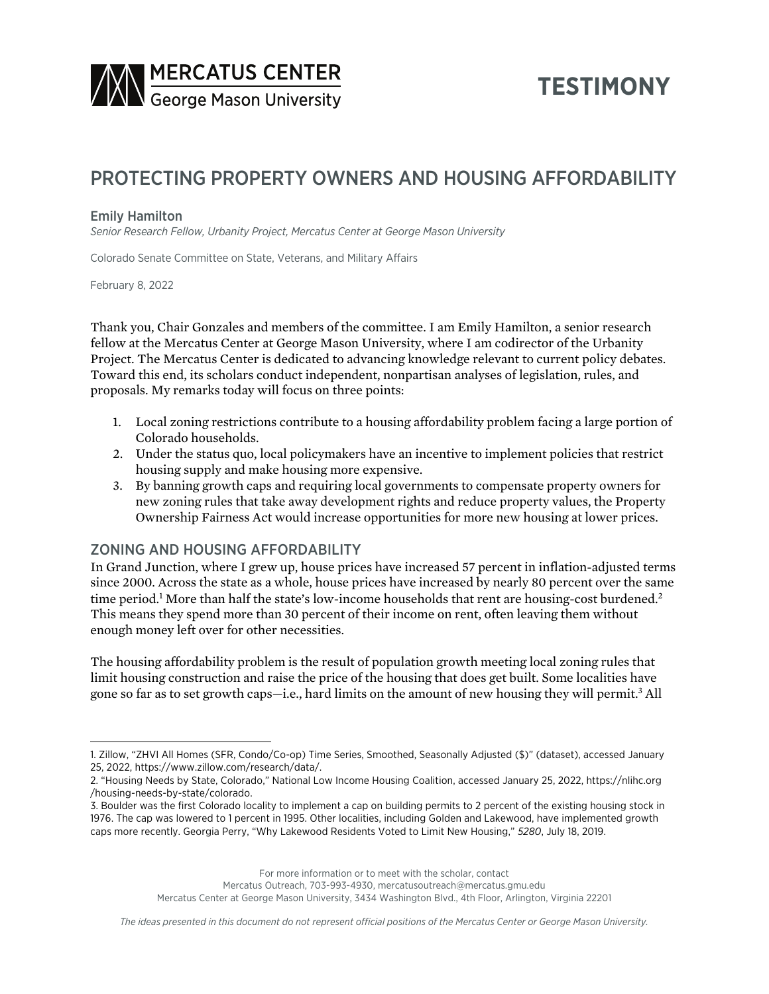

# **TESTIMONY**

## PROTECTING PROPERTY OWNERS AND HOUSING AFFORDABILITY

#### Emily Hamilton

*Senior Research Fellow, Urbanity Project, Mercatus Center at George Mason University*

Colorado Senate Committee on State, Veterans, and Military Affairs

February 8, 2022

Thank you, Chair Gonzales and members of the committee. I am Emily Hamilton, a senior research fellow at the Mercatus Center at George Mason University, where I am codirector of the Urbanity Project. The Mercatus Center is dedicated to advancing knowledge relevant to current policy debates. Toward this end, its scholars conduct independent, nonpartisan analyses of legislation, rules, and proposals. My remarks today will focus on three points:

- 1. Local zoning restrictions contribute to a housing affordability problem facing a large portion of Colorado households.
- 2. Under the status quo, local policymakers have an incentive to implement policies that restrict housing supply and make housing more expensive.
- 3. By banning growth caps and requiring local governments to compensate property owners for new zoning rules that take away development rights and reduce property values, the Property Ownership Fairness Act would increase opportunities for more new housing at lower prices.

#### ZONING AND HOUSING AFFORDABILITY

In Grand Junction, where I grew up, house prices have increased 57 percent in inflation-adjusted terms since 2000. Across the state as a whole, house prices have increased by nearly 80 percent over the same time period.<sup>1</sup> More than half the state's low-income households that rent are housing-cost burdened.<sup>2</sup> This means they spend more than 30 percent of their income on rent, often leaving them without enough money left over for other necessities.

The housing affordability problem is the result of population growth meeting local zoning rules that limit housing construction and raise the price of the housing that does get built. Some localities have gone so far as to set growth caps—i.e., hard limits on the amount of new housing they will permit.<sup>3</sup> All

For more information or to meet with the scholar, contact

Mercatus Outreach, 703-993-4930, mercatusoutreach@mercatus.gmu.edu

Mercatus Center at George Mason University, 3434 Washington Blvd., 4th Floor, Arlington, Virginia 22201

<sup>1.</sup> Zillow, "ZHVI All Homes (SFR, Condo/Co-op) Time Series, Smoothed, Seasonally Adjusted (\$)" (dataset), accessed January 25, 2022, <https://www.zillow.com/research/data/>.

<sup>2.</sup> "Housing Needs by State, Colorado," National Low Income Housing Coalition, accessed January 25, 2022, [https://nlihc.org](https://nlihc.org/housing-needs-by-state/colorado) [/housing-needs-by-state/colorado](https://nlihc.org/housing-needs-by-state/colorado).

<sup>3.</sup> Boulder was the first Colorado locality to implement a cap on building permits to 2 percent of the existing housing stock in 1976. The cap was lowered to 1 percent in 1995. Other localities, including Golden and Lakewood, have implemented growth caps more recently. Georgia Perry, "Why Lakewood Residents Voted to Limit New Housing," *5280*, July 18, 2019.